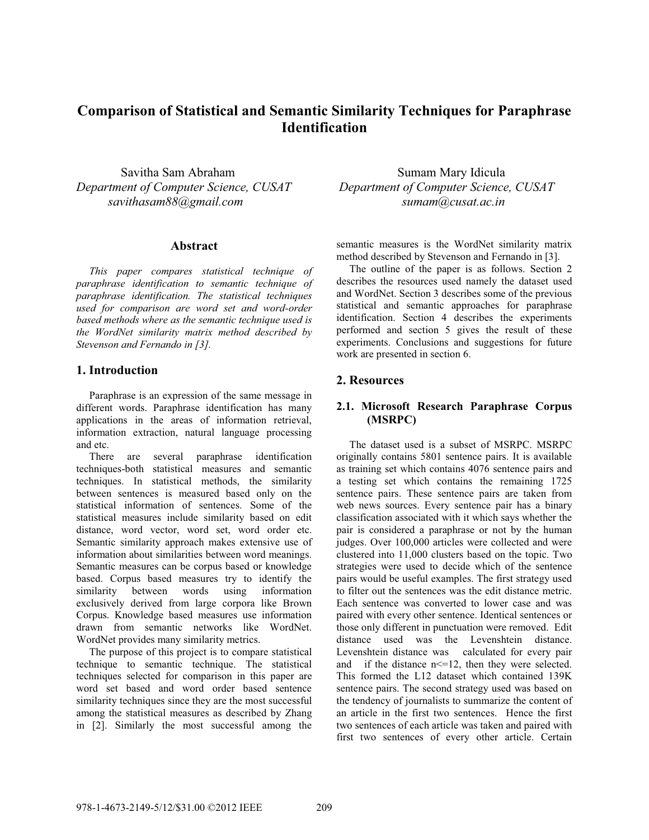# **Comparison of Statistical and Semantic Similarity Techniques for Paraphrase Identification**

*Department of Computer Science, CUSAT Department of Computer Science, CUSAT savithasam88@gmail.com sumam@cusat.ac.in* 

### **Abstract**

*This paper compares statistical technique of paraphrase identification to semantic technique of paraphrase identification. The statistical techniques used for comparison are word set and word-order based methods where as the semantic technique used is the WordNet similarity matrix method described by Stevenson and Fernando in [3].* 

# **1. Introduction**

Paraphrase is an expression of the same message in different words. Paraphrase identification has many applications in the areas of information retrieval, information extraction, natural language processing and etc.

There are several paraphrase identification techniques-both statistical measures and semantic techniques. In statistical methods, the similarity between sentences is measured based only on the statistical information of sentences. Some of the statistical measures include similarity based on edit distance, word vector, word set, word order etc. Semantic similarity approach makes extensive use of information about similarities between word meanings. Semantic measures can be corpus based or knowledge based. Corpus based measures try to identify the similarity between words using information exclusively derived from large corpora like Brown Corpus. Knowledge based measures use information drawn from semantic networks like WordNet. WordNet provides many similarity metrics.

The purpose of this project is to compare statistical technique to semantic technique. The statistical techniques selected for comparison in this paper are word set based and word order based sentence similarity techniques since they are the most successful among the statistical measures as described by Zhang in [2]. Similarly the most successful among the

Savitha Sam Abraham Sumam Mary Idicula

semantic measures is the WordNet similarity matrix method described by Stevenson and Fernando in [3].

The outline of the paper is as follows. Section 2 describes the resources used namely the dataset used and WordNet. Section 3 describes some of the previous statistical and semantic approaches for paraphrase identification. Section 4 describes the experiments performed and section 5 gives the result of these experiments. Conclusions and suggestions for future work are presented in section 6.

# **2. Resources**

# **2.1. Microsoft Research Paraphrase Corpus (MSRPC)**

The dataset used is a subset of MSRPC. MSRPC originally contains 5801 sentence pairs. It is available as training set which contains 4076 sentence pairs and a testing set which contains the remaining 1725 sentence pairs. These sentence pairs are taken from web news sources. Every sentence pair has a binary classification associated with it which says whether the pair is considered a paraphrase or not by the human judges. Over 100,000 articles were collected and were clustered into 11,000 clusters based on the topic. Two strategies were used to decide which of the sentence pairs would be useful examples. The first strategy used to filter out the sentences was the edit distance metric. Each sentence was converted to lower case and was paired with every other sentence. Identical sentences or those only different in punctuation were removed. Edit distance used was the Levenshtein distance. Levenshtein distance was calculated for every pair and if the distance  $n \leq 12$ , then they were selected. This formed the L12 dataset which contained 139K sentence pairs. The second strategy used was based on the tendency of journalists to summarize the content of an article in the first two sentences. Hence the first two sentences of each article was taken and paired with first two sentences of every other article. Certain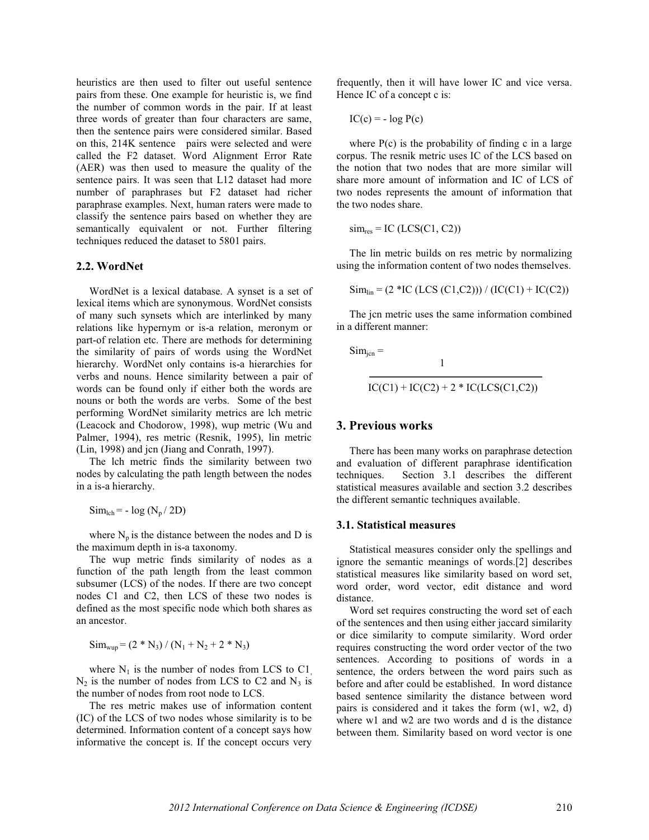heuristics are then used to filter out useful sentence pairs from these. One example for heuristic is, we find the number of common words in the pair. If at least three words of greater than four characters are same, then the sentence pairs were considered similar. Based on this, 214K sentence pairs were selected and were called the F2 dataset. Word Alignment Error Rate (AER) was then used to measure the quality of the sentence pairs. It was seen that L12 dataset had more number of paraphrases but F2 dataset had richer paraphrase examples. Next, human raters were made to classify the sentence pairs based on whether they are semantically equivalent or not. Further filtering techniques reduced the dataset to 5801 pairs.

#### **2.2. WordNet**

WordNet is a lexical database. A synset is a set of lexical items which are synonymous. WordNet consists of many such synsets which are interlinked by many relations like hypernym or is-a relation, meronym or part-of relation etc. There are methods for determining the similarity of pairs of words using the WordNet hierarchy. WordNet only contains is-a hierarchies for verbs and nouns. Hence similarity between a pair of words can be found only if either both the words are nouns or both the words are verbs. Some of the best performing WordNet similarity metrics are lch metric (Leacock and Chodorow, 1998), wup metric (Wu and Palmer, 1994), res metric (Resnik, 1995), lin metric (Lin, 1998) and jcn (Jiang and Conrath, 1997).

The lch metric finds the similarity between two nodes by calculating the path length between the nodes in a is-a hierarchy.

 $\text{Sim}_{\text{lch}} = -\log (\text{N}_{p} / 2\text{D})$ 

where  $N_p$  is the distance between the nodes and D is the maximum depth in is-a taxonomy.

The wup metric finds similarity of nodes as a function of the path length from the least common subsumer (LCS) of the nodes. If there are two concept nodes C1 and C2, then LCS of these two nodes is defined as the most specific node which both shares as an ancestor.

 $Sim_{wup} = (2 * N_3) / (N_1 + N_2 + 2 * N_3)$ 

where  $N_1$  is the number of nodes from LCS to C1,  $N_2$  is the number of nodes from LCS to C2 and  $N_3$  is the number of nodes from root node to LCS.

The res metric makes use of information content (IC) of the LCS of two nodes whose similarity is to be determined. Information content of a concept says how informative the concept is. If the concept occurs very

frequently, then it will have lower IC and vice versa. Hence IC of a concept c is:

$$
IC(c) = -\log P(c)
$$

where  $P(c)$  is the probability of finding c in a large corpus. The resnik metric uses IC of the LCS based on the notion that two nodes that are more similar will share more amount of information and IC of LCS of two nodes represents the amount of information that the two nodes share.

$$
sim_{res} = IC (LCS(C1, C2))
$$

The lin metric builds on res metric by normalizing using the information content of two nodes themselves.

 $\text{Sim}_{\text{lin}} = (2 * \text{IC (LCS (C1, C2))}) / (\text{IC(C1)} + \text{IC(C2)})$ 

The jcn metric uses the same information combined in a different manner:

 $Sim_{\text{icn}} =$  $1$ 

$$
IC(C1) + IC(C2) + 2 * IC(LCS(C1, C2))
$$

# **3. Previous works**

There has been many works on paraphrase detection and evaluation of different paraphrase identification techniques. Section 3.1 describes the different statistical measures available and section 3.2 describes the different semantic techniques available.

#### **3.1. Statistical measures**

Statistical measures consider only the spellings and ignore the semantic meanings of words.[2] describes statistical measures like similarity based on word set, word order, word vector, edit distance and word distance.

Word set requires constructing the word set of each of the sentences and then using either jaccard similarity or dice similarity to compute similarity. Word order requires constructing the word order vector of the two sentences. According to positions of words in a sentence, the orders between the word pairs such as before and after could be established. In word distance based sentence similarity the distance between word pairs is considered and it takes the form (w1, w2, d) where w1 and w2 are two words and d is the distance between them. Similarity based on word vector is one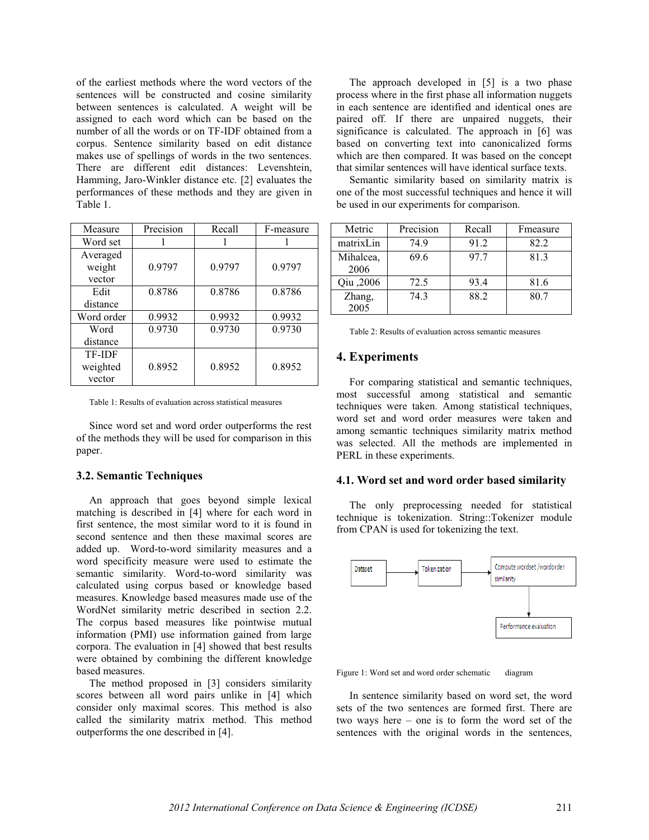of the earliest methods where the word vectors of the sentences will be constructed and cosine similarity between sentences is calculated. A weight will be assigned to each word which can be based on the number of all the words or on TF-IDF obtained from a corpus. Sentence similarity based on edit distance makes use of spellings of words in the two sentences. There are different edit distances: Levenshtein, Hamming, Jaro-Winkler distance etc. [2] evaluates the performances of these methods and they are given in Table 1.

| Measure    | Precision | Recall | F-measure |
|------------|-----------|--------|-----------|
| Word set   |           |        |           |
| Averaged   |           |        |           |
| weight     | 0.9797    | 0.9797 | 0.9797    |
| vector     |           |        |           |
| Edit       | 0.8786    | 0.8786 | 0.8786    |
| distance   |           |        |           |
| Word order | 0.9932    | 0.9932 | 0.9932    |
| Word       | 0.9730    | 0.9730 | 0.9730    |
| distance   |           |        |           |
| TF-IDF     |           |        |           |
| weighted   | 0.8952    | 0.8952 | 0.8952    |
| vector     |           |        |           |

Table 1: Results of evaluation across statistical measures

Since word set and word order outperforms the rest of the methods they will be used for comparison in this paper.

#### **3.2. Semantic Techniques**

An approach that goes beyond simple lexical matching is described in [4] where for each word in first sentence, the most similar word to it is found in second sentence and then these maximal scores are added up. Word-to-word similarity measures and a word specificity measure were used to estimate the semantic similarity. Word-to-word similarity was calculated using corpus based or knowledge based measures. Knowledge based measures made use of the WordNet similarity metric described in section 2.2. The corpus based measures like pointwise mutual information (PMI) use information gained from large corpora. The evaluation in [4] showed that best results were obtained by combining the different knowledge based measures.

The method proposed in [3] considers similarity scores between all word pairs unlike in [4] which consider only maximal scores. This method is also called the similarity matrix method. This method outperforms the one described in [4].

The approach developed in [5] is a two phase process where in the first phase all information nuggets in each sentence are identified and identical ones are paired off. If there are unpaired nuggets, their significance is calculated. The approach in [6] was based on converting text into canonicalized forms which are then compared. It was based on the concept that similar sentences will have identical surface texts.

Semantic similarity based on similarity matrix is one of the most successful techniques and hence it will be used in our experiments for comparison.

| Metric            | Precision | Recall | Fmeasure |
|-------------------|-----------|--------|----------|
| matrixLin         | 74.9      | 91.2   | 82.2     |
| Mihalcea,<br>2006 | 69.6      | 97.7   | 81.3     |
| Qiu ,2006         | 72.5      | 93.4   | 81.6     |
| Zhang,<br>2005    | 74.3      | 88.2   | 80.7     |

Table 2: Results of evaluation across semantic measures

### **4. Experiments**

For comparing statistical and semantic techniques, most successful among statistical and semantic techniques were taken. Among statistical techniques, word set and word order measures were taken and among semantic techniques similarity matrix method was selected. All the methods are implemented in PERL in these experiments.

### **4.1. Word set and word order based similarity**

The only preprocessing needed for statistical technique is tokenization. String::Tokenizer module from CPAN is used for tokenizing the text.



Figure 1: Word set and word order schematic diagram

In sentence similarity based on word set, the word sets of the two sentences are formed first. There are two ways here – one is to form the word set of the sentences with the original words in the sentences,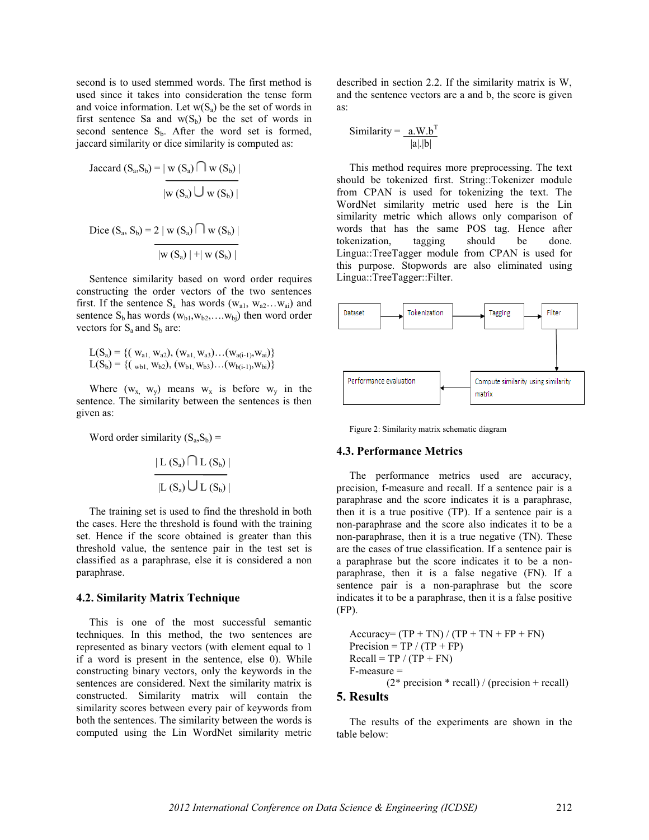second is to used stemmed words. The first method is used since it takes into consideration the tense form and voice information. Let  $w(S_a)$  be the set of words in first sentence Sa and  $w(S_b)$  be the set of words in second sentence  $S_b$ . After the word set is formed, jaccard similarity or dice similarity is computed as:

Jaccard 
$$
(S_a, S_b) = |\mathbf{w}(S_a) \cap \mathbf{w}(S_b)|
$$
  
\n
$$
|\mathbf{w}(S_a) \cup \mathbf{w}(S_b)|
$$
\n
$$
Dice (S_a, S_b) = 2 |\mathbf{w}(S_a) \cap \mathbf{w}(S_b)|
$$
\n
$$
|\mathbf{w}(S_a)| + |\mathbf{w}(S_b)|
$$

Sentence similarity based on word order requires constructing the order vectors of the two sentences first. If the sentence  $S_a$  has words  $(w_{a1}, w_{a2}...w_{ai})$  and sentence  $S_b$  has words  $(w_{b1}, w_{b2}, \ldots, w_{bi})$  then word order vectors for  $S_a$  and  $S_b$  are:

$$
\begin{array}{c} L(S_a)=\{ (\;w_{a1},\,w_{a2}),\,(w_{a1},\,w_{a3})... (w_{a(i-1)},\,w_{ai})\} \\ L(S_b)=\{ (\;\text{w}_{b1},\,w_{b2}),\,(w_{b1},\,w_{b3})... (w_{b(i-1)},\,w_{bi})\} \end{array}
$$

Where  $(w_x, w_y)$  means  $w_x$  is before  $w_y$  in the sentence. The similarity between the sentences is then given as:

Word order similarity  $(S_a, S_b)$  =

$$
\frac{\mid L(S_a) \bigcap L(S_b) \mid}{\mid L(S_a) \bigcup L(S_b) \mid}
$$

The training set is used to find the threshold in both the cases. Here the threshold is found with the training set. Hence if the score obtained is greater than this threshold value, the sentence pair in the test set is classified as a paraphrase, else it is considered a non paraphrase.

### **4.2. Similarity Matrix Technique**

This is one of the most successful semantic techniques. In this method, the two sentences are represented as binary vectors (with element equal to 1 if a word is present in the sentence, else 0). While constructing binary vectors, only the keywords in the sentences are considered. Next the similarity matrix is constructed. Similarity matrix will contain the similarity scores between every pair of keywords from both the sentences. The similarity between the words is computed using the Lin WordNet similarity metric

described in section 2.2. If the similarity matrix is W, and the sentence vectors are a and b, the score is given as:

$$
Similarity = \frac{a.W.b^{T}}{|a| |b|}
$$

This method requires more preprocessing. The text should be tokenized first. String::Tokenizer module from CPAN is used for tokenizing the text. The WordNet similarity metric used here is the Lin similarity metric which allows only comparison of words that has the same POS tag. Hence after tokenization, tagging should be done. Lingua::TreeTagger module from CPAN is used for this purpose. Stopwords are also eliminated using Lingua::TreeTagger::Filter.



Figure 2: Similarity matrix schematic diagram

### **4.3. Performance Metrics**

The performance metrics used are accuracy, precision, f-measure and recall. If a sentence pair is a paraphrase and the score indicates it is a paraphrase, then it is a true positive (TP). If a sentence pair is a non-paraphrase and the score also indicates it to be a non-paraphrase, then it is a true negative (TN). These are the cases of true classification. If a sentence pair is a paraphrase but the score indicates it to be a nonparaphrase, then it is a false negative (FN). If a sentence pair is a non-paraphrase but the score indicates it to be a paraphrase, then it is a false positive (FP).

 $Accuracy = (TP + TN) / (TP + TN + FP + FN)$ Precision =  $TP / (TP + FP)$  $Recall = TP / (TP + FN)$ F-measure =  $(2<sup>*</sup> precision * recall) / (precision + recall)$ 

# **5. Results**

The results of the experiments are shown in the table below: